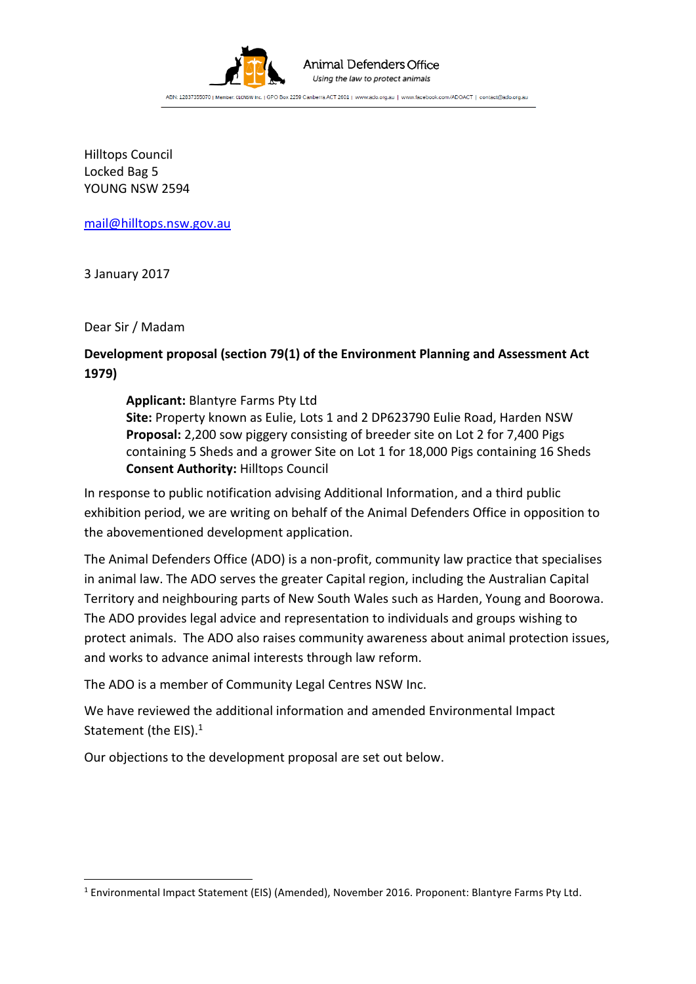

### Animal Defenders Office Using the law to protect animals

ABN: 12837355070 | Member: CLCNSW Inc. | GPO Box 2259 Canberra ACT 2601 | www.ado.org.au | www.facebook.com/ADOACT | contact@ado.org.au

Hilltops Council Locked Bag 5 YOUNG NSW 2594

[mail@hilltops.nsw.gov.au](mailto:mail@hilltops.nsw.gov.au)

3 January 2017

Dear Sir / Madam

**.** 

## **Development proposal (section 79(1) of the Environment Planning and Assessment Act 1979)**

**Applicant:** Blantyre Farms Pty Ltd

**Site:** Property known as Eulie, Lots 1 and 2 DP623790 Eulie Road, Harden NSW **Proposal:** 2,200 sow piggery consisting of breeder site on Lot 2 for 7,400 Pigs containing 5 Sheds and a grower Site on Lot 1 for 18,000 Pigs containing 16 Sheds **Consent Authority:** Hilltops Council

In response to public notification advising Additional Information, and a third public exhibition period, we are writing on behalf of the Animal Defenders Office in opposition to the abovementioned development application.

The Animal Defenders Office (ADO) is a non-profit, community law practice that specialises in animal law. The ADO serves the greater Capital region, including the Australian Capital Territory and neighbouring parts of New South Wales such as Harden, Young and Boorowa. The ADO provides legal advice and representation to individuals and groups wishing to protect animals. The ADO also raises community awareness about animal protection issues, and works to advance animal interests through law reform.

The ADO is a member of Community Legal Centres NSW Inc.

We have reviewed the additional information and amended Environmental Impact Statement (the EIS).<sup>1</sup>

Our objections to the development proposal are set out below.

<sup>1</sup> Environmental Impact Statement (EIS) (Amended), November 2016. Proponent: Blantyre Farms Pty Ltd.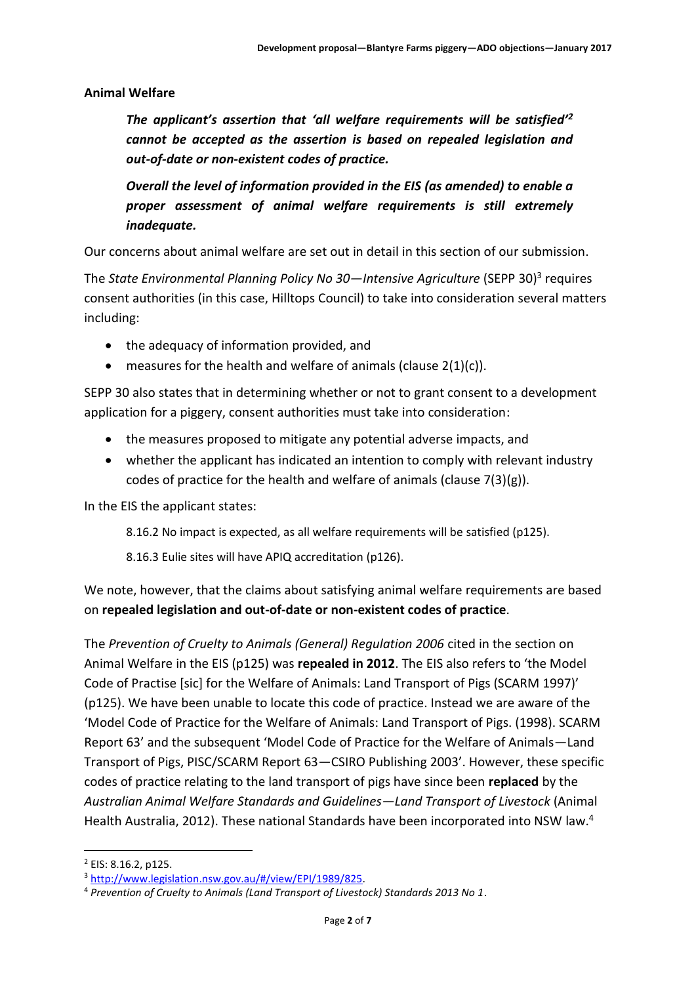#### **Animal Welfare**

*The applicant's assertion that 'all welfare requirements will be satisfied'<sup>2</sup> cannot be accepted as the assertion is based on repealed legislation and out-of-date or non-existent codes of practice.*

*Overall the level of information provided in the EIS (as amended) to enable a proper assessment of animal welfare requirements is still extremely inadequate.*

Our concerns about animal welfare are set out in detail in this section of our submission.

The *State Environmental Planning Policy No 30—Intensive Agriculture* (SEPP 30)<sup>3</sup> requires consent authorities (in this case, Hilltops Council) to take into consideration several matters including:

- the adequacy of information provided, and
- $\bullet$  measures for the health and welfare of animals (clause 2(1)(c)).

SEPP 30 also states that in determining whether or not to grant consent to a development application for a piggery, consent authorities must take into consideration:

- the measures proposed to mitigate any potential adverse impacts, and
- whether the applicant has indicated an intention to comply with relevant industry codes of practice for the health and welfare of animals (clause 7(3)(g)).

In the EIS the applicant states:

8.16.2 No impact is expected, as all welfare requirements will be satisfied (p125).

8.16.3 Eulie sites will have APIQ accreditation (p126).

We note, however, that the claims about satisfying animal welfare requirements are based on **repealed legislation and out-of-date or non-existent codes of practice**.

The *Prevention of Cruelty to Animals (General) Regulation 2006* cited in the section on Animal Welfare in the EIS (p125) was **repealed in 2012**. The EIS also refers to 'the Model Code of Practise [sic] for the Welfare of Animals: Land Transport of Pigs (SCARM 1997)' (p125). We have been unable to locate this code of practice. Instead we are aware of the 'Model Code of Practice for the Welfare of Animals: Land Transport of Pigs. (1998). SCARM Report 63' and the subsequent 'Model Code of Practice for the Welfare of Animals—Land Transport of Pigs, PISC/SCARM Report 63—CSIRO Publishing 2003'. However, these specific codes of practice relating to the land transport of pigs have since been **replaced** by the *Australian Animal Welfare Standards and Guidelines—Land Transport of Livestock* (Animal Health Australia, 2012). These national Standards have been incorporated into NSW law.<sup>4</sup>

**.** 

<sup>2</sup> EIS: 8.16.2, p125.

<sup>3</sup> [http://www.legislation.nsw.gov.au/#/view/EPI/1989/825.](http://www.legislation.nsw.gov.au/#/view/EPI/1989/825) 

<sup>4</sup> *Prevention of Cruelty to Animals (Land Transport of Livestock) Standards 2013 No 1*.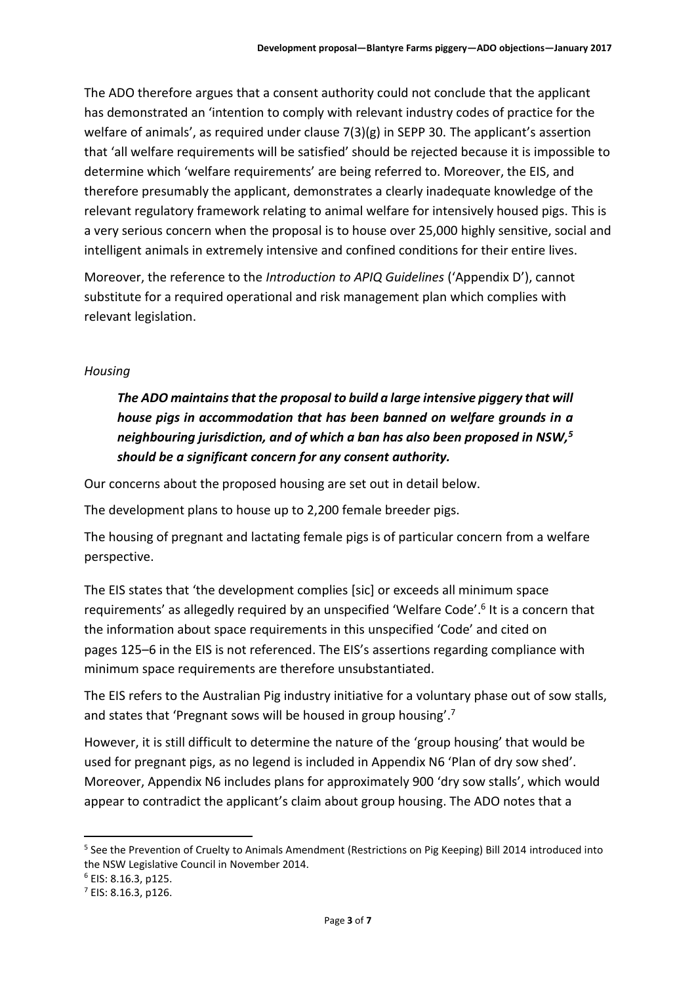The ADO therefore argues that a consent authority could not conclude that the applicant has demonstrated an 'intention to comply with relevant industry codes of practice for the welfare of animals', as required under clause 7(3)(g) in SEPP 30. The applicant's assertion that 'all welfare requirements will be satisfied' should be rejected because it is impossible to determine which 'welfare requirements' are being referred to. Moreover, the EIS, and therefore presumably the applicant, demonstrates a clearly inadequate knowledge of the relevant regulatory framework relating to animal welfare for intensively housed pigs. This is a very serious concern when the proposal is to house over 25,000 highly sensitive, social and intelligent animals in extremely intensive and confined conditions for their entire lives.

Moreover, the reference to the *Introduction to APIQ Guidelines* ('Appendix D'), cannot substitute for a required operational and risk management plan which complies with relevant legislation.

## *Housing*

# *The ADO maintains that the proposal to build a large intensive piggery that will house pigs in accommodation that has been banned on welfare grounds in a neighbouring jurisdiction, and of which a ban has also been proposed in NSW,<sup>5</sup> should be a significant concern for any consent authority.*

Our concerns about the proposed housing are set out in detail below.

The development plans to house up to 2,200 female breeder pigs.

The housing of pregnant and lactating female pigs is of particular concern from a welfare perspective.

The EIS states that 'the development complies [sic] or exceeds all minimum space requirements' as allegedly required by an unspecified 'Welfare Code'.<sup>6</sup> It is a concern that the information about space requirements in this unspecified 'Code' and cited on pages 125–6 in the EIS is not referenced. The EIS's assertions regarding compliance with minimum space requirements are therefore unsubstantiated.

The EIS refers to the Australian Pig industry initiative for a voluntary phase out of sow stalls, and states that 'Pregnant sows will be housed in group housing'.<sup>7</sup>

However, it is still difficult to determine the nature of the 'group housing' that would be used for pregnant pigs, as no legend is included in Appendix N6 'Plan of dry sow shed'. Moreover, Appendix N6 includes plans for approximately 900 'dry sow stalls', which would appear to contradict the applicant's claim about group housing. The ADO notes that a

**.** 

<sup>5</sup> See the Prevention of Cruelty to Animals Amendment (Restrictions on Pig Keeping) Bill 2014 introduced into the NSW Legislative Council in November 2014.

<sup>6</sup> EIS: 8.16.3, p125.

<sup>7</sup> EIS: 8.16.3, p126.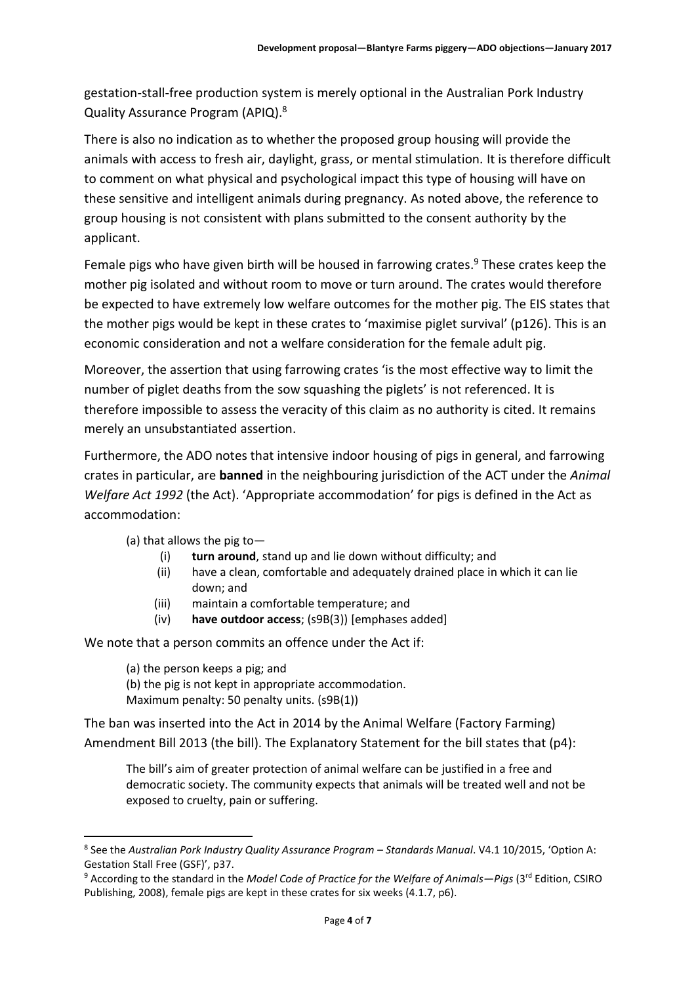gestation-stall-free production system is merely optional in the Australian Pork Industry Quality Assurance Program (APIQ).<sup>8</sup>

There is also no indication as to whether the proposed group housing will provide the animals with access to fresh air, daylight, grass, or mental stimulation. It is therefore difficult to comment on what physical and psychological impact this type of housing will have on these sensitive and intelligent animals during pregnancy. As noted above, the reference to group housing is not consistent with plans submitted to the consent authority by the applicant.

Female pigs who have given birth will be housed in farrowing crates.<sup>9</sup> These crates keep the mother pig isolated and without room to move or turn around. The crates would therefore be expected to have extremely low welfare outcomes for the mother pig. The EIS states that the mother pigs would be kept in these crates to 'maximise piglet survival' (p126). This is an economic consideration and not a welfare consideration for the female adult pig.

Moreover, the assertion that using farrowing crates 'is the most effective way to limit the number of piglet deaths from the sow squashing the piglets' is not referenced. It is therefore impossible to assess the veracity of this claim as no authority is cited. It remains merely an unsubstantiated assertion.

Furthermore, the ADO notes that intensive indoor housing of pigs in general, and farrowing crates in particular, are **banned** in the neighbouring jurisdiction of the ACT under the *Animal Welfare Act 1992* (the Act). 'Appropriate accommodation' for pigs is defined in the Act as accommodation:

(a) that allows the pig to—

**.** 

- (i) **turn around**, stand up and lie down without difficulty; and
- (ii) have a clean, comfortable and adequately drained place in which it can lie down; and
- (iii) maintain a comfortable temperature; and
- (iv) **have outdoor access**; (s9B(3)) [emphases added]

We note that a person commits an offence under the Act if:

(a) the person keeps a pig; and (b) the pig is not kept in appropriate accommodation. Maximum penalty: 50 penalty units. (s9B(1))

The ban was inserted into the Act in 2014 by the Animal Welfare (Factory Farming) Amendment Bill 2013 (the bill). The Explanatory Statement for the bill states that (p4):

The bill's aim of greater protection of animal welfare can be justified in a free and democratic society. The community expects that animals will be treated well and not be exposed to cruelty, pain or suffering.

<sup>8</sup> See the *Australian Pork Industry Quality Assurance Program – Standards Manual*. V4.1 10/2015, 'Option A: Gestation Stall Free (GSF)', p37.

<sup>9</sup> According to the standard in the *Model Code of Practice for the Welfare of Animals—Pigs* (3rd Edition, CSIRO Publishing, 2008), female pigs are kept in these crates for six weeks (4.1.7, p6).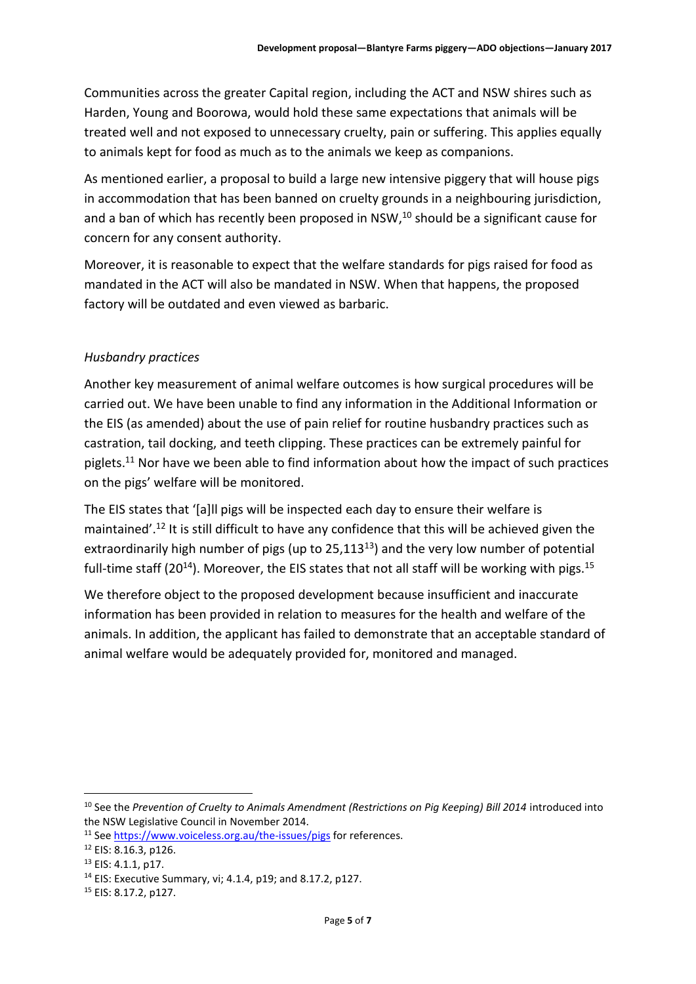Communities across the greater Capital region, including the ACT and NSW shires such as Harden, Young and Boorowa, would hold these same expectations that animals will be treated well and not exposed to unnecessary cruelty, pain or suffering. This applies equally to animals kept for food as much as to the animals we keep as companions.

As mentioned earlier, a proposal to build a large new intensive piggery that will house pigs in accommodation that has been banned on cruelty grounds in a neighbouring jurisdiction, and a ban of which has recently been proposed in NSW, <sup>10</sup> should be a significant cause for concern for any consent authority.

Moreover, it is reasonable to expect that the welfare standards for pigs raised for food as mandated in the ACT will also be mandated in NSW. When that happens, the proposed factory will be outdated and even viewed as barbaric.

## *Husbandry practices*

Another key measurement of animal welfare outcomes is how surgical procedures will be carried out. We have been unable to find any information in the Additional Information or the EIS (as amended) about the use of pain relief for routine husbandry practices such as castration, tail docking, and teeth clipping. These practices can be extremely painful for piglets.<sup>11</sup> Nor have we been able to find information about how the impact of such practices on the pigs' welfare will be monitored.

The EIS states that '[a]ll pigs will be inspected each day to ensure their welfare is maintained'.<sup>12</sup> It is still difficult to have any confidence that this will be achieved given the extraordinarily high number of pigs (up to 25,113<sup>13</sup>) and the very low number of potential full-time staff (20<sup>14</sup>). Moreover, the EIS states that not all staff will be working with pigs.<sup>15</sup>

We therefore object to the proposed development because insufficient and inaccurate information has been provided in relation to measures for the health and welfare of the animals. In addition, the applicant has failed to demonstrate that an acceptable standard of animal welfare would be adequately provided for, monitored and managed.

 $\overline{a}$ 

<sup>&</sup>lt;sup>10</sup> See the *Prevention of Cruelty to Animals Amendment (Restrictions on Pig Keeping) Bill 2014 introduced into* the NSW Legislative Council in November 2014.

<sup>&</sup>lt;sup>11</sup> Se[e https://www.voiceless.org.au/the-issues/pigs](https://www.voiceless.org.au/the-issues/pigs) for references.

<sup>12</sup> EIS: 8.16.3, p126.

<sup>13</sup> EIS: 4.1.1, p17.

<sup>14</sup> EIS: Executive Summary, vi; 4.1.4, p19; and 8.17.2, p127.

<sup>15</sup> EIS: 8.17.2, p127.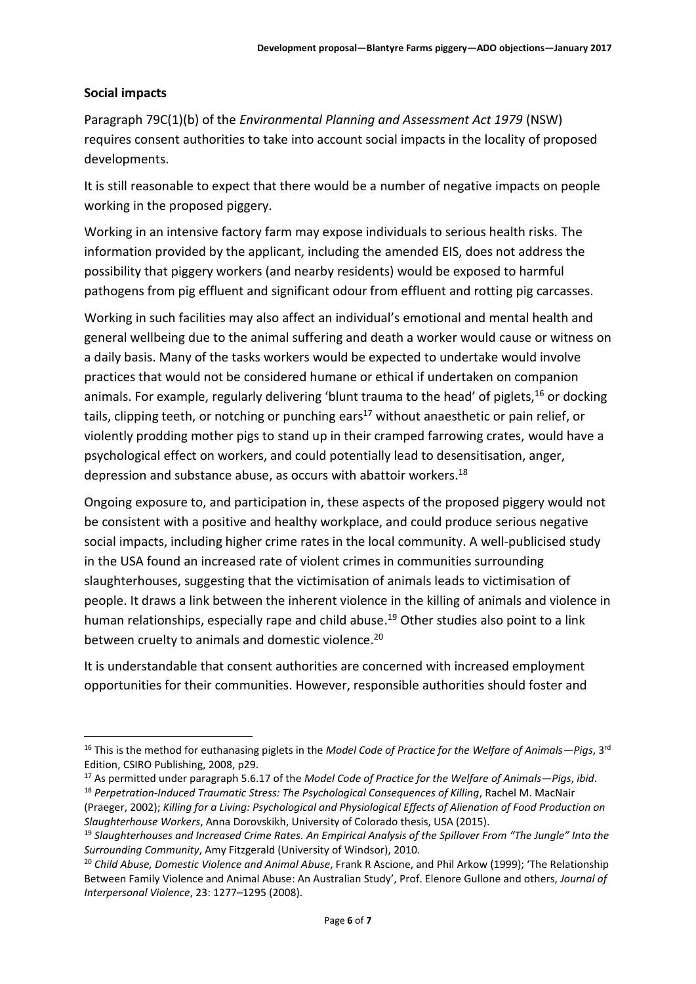### **Social impacts**

**.** 

Paragraph 79C(1)(b) of the *Environmental Planning and Assessment Act 1979* (NSW) requires consent authorities to take into account social impacts in the locality of proposed developments.

It is still reasonable to expect that there would be a number of negative impacts on people working in the proposed piggery.

Working in an intensive factory farm may expose individuals to serious health risks. The information provided by the applicant, including the amended EIS, does not address the possibility that piggery workers (and nearby residents) would be exposed to harmful pathogens from pig effluent and significant odour from effluent and rotting pig carcasses.

Working in such facilities may also affect an individual's emotional and mental health and general wellbeing due to the animal suffering and death a worker would cause or witness on a daily basis. Many of the tasks workers would be expected to undertake would involve practices that would not be considered humane or ethical if undertaken on companion animals. For example, regularly delivering 'blunt trauma to the head' of piglets, <sup>16</sup> or docking tails, clipping teeth, or notching or punching ears<sup>17</sup> without anaesthetic or pain relief, or violently prodding mother pigs to stand up in their cramped farrowing crates, would have a psychological effect on workers, and could potentially lead to desensitisation, anger, depression and substance abuse, as occurs with abattoir workers.<sup>18</sup>

Ongoing exposure to, and participation in, these aspects of the proposed piggery would not be consistent with a positive and healthy workplace, and could produce serious negative social impacts, including higher crime rates in the local community. A well-publicised study in the USA found an increased rate of violent crimes in communities surrounding slaughterhouses, suggesting that the victimisation of animals leads to victimisation of people. It draws a link between the inherent violence in the killing of animals and violence in human relationships, especially rape and child abuse. <sup>19</sup> Other studies also point to a link between cruelty to animals and domestic violence.<sup>20</sup>

It is understandable that consent authorities are concerned with increased employment opportunities for their communities. However, responsible authorities should foster and

<sup>16</sup> This is the method for euthanasing piglets in the *Model Code of Practice for the Welfare of Animals—Pigs*, 3rd Edition, CSIRO Publishing, 2008, p29.

<sup>17</sup> As permitted under paragraph 5.6.17 of the *Model Code of Practice for the Welfare of Animals—Pigs*, *ibid*.

<sup>18</sup> *Perpetration-Induced Traumatic Stress: The Psychological Consequences of Killing*, Rachel M. MacNair (Praeger, 2002); *Killing for a Living: Psychological and Physiological Effects of Alienation of Food Production on Slaughterhouse Workers*, Anna Dorovskikh, University of Colorado thesis, USA (2015).

<sup>19</sup> *Slaughterhouses and Increased Crime Rates. An Empirical Analysis of the Spillover From "The Jungle" Into the Surrounding Community*, Amy Fitzgerald (University of Windsor), 2010.

<sup>20</sup> *Child Abuse, Domestic Violence and Animal Abuse*, Frank R Ascione, and Phil Arkow (1999); 'The Relationship Between Family Violence and Animal Abuse: An Australian Study', Prof. Elenore Gullone and others, *Journal of Interpersonal Violence*, 23: 1277–1295 (2008).